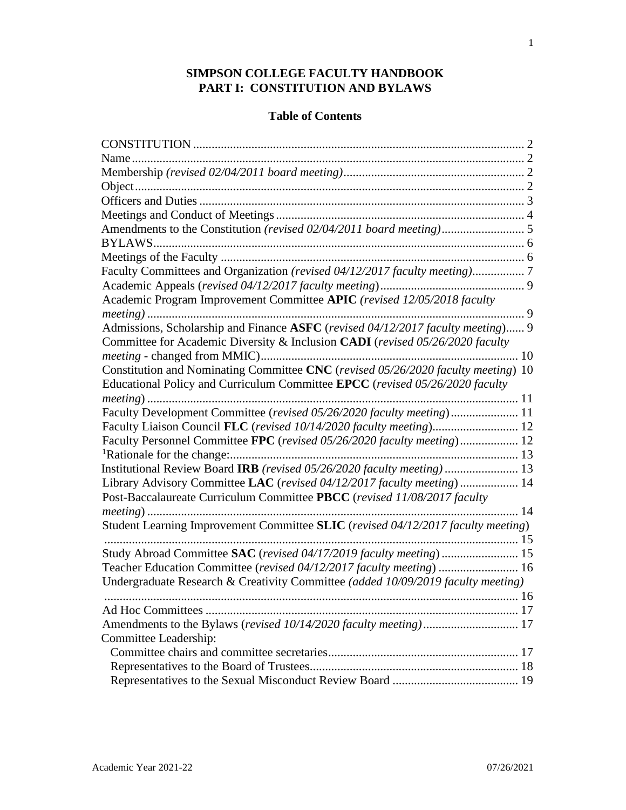## **SIMPSON COLLEGE FACULTY HANDBOOK PART I: CONSTITUTION AND BYLAWS**

# **Table of Contents**

| Faculty Committees and Organization (revised 04/12/2017 faculty meeting)          |
|-----------------------------------------------------------------------------------|
|                                                                                   |
| Academic Program Improvement Committee APIC (revised 12/05/2018 faculty           |
| . 9                                                                               |
| Admissions, Scholarship and Finance ASFC (revised 04/12/2017 faculty meeting) 9   |
| Committee for Academic Diversity & Inclusion CADI (revised 05/26/2020 faculty     |
|                                                                                   |
| Constitution and Nominating Committee CNC (revised 05/26/2020 faculty meeting) 10 |
| Educational Policy and Curriculum Committee EPCC (revised 05/26/2020 faculty      |
|                                                                                   |
| Faculty Development Committee (revised 05/26/2020 faculty meeting) 11             |
| Faculty Liaison Council FLC (revised 10/14/2020 faculty meeting) 12               |
| Faculty Personnel Committee FPC (revised 05/26/2020 faculty meeting) 12           |
|                                                                                   |
| Institutional Review Board IRB (revised 05/26/2020 faculty meeting) 13            |
| Library Advisory Committee LAC (revised 04/12/2017 faculty meeting)  14           |
| Post-Baccalaureate Curriculum Committee PBCC (revised 11/08/2017 faculty          |
|                                                                                   |
| Student Learning Improvement Committee SLIC (revised 04/12/2017 faculty meeting)  |
|                                                                                   |
| Study Abroad Committee SAC (revised 04/17/2019 faculty meeting) 15                |
| Teacher Education Committee (revised 04/12/2017 faculty meeting)  16              |
| Undergraduate Research & Creativity Committee (added 10/09/2019 faculty meeting)  |
|                                                                                   |
|                                                                                   |
|                                                                                   |
| Committee Leadership:                                                             |
|                                                                                   |
|                                                                                   |
|                                                                                   |

1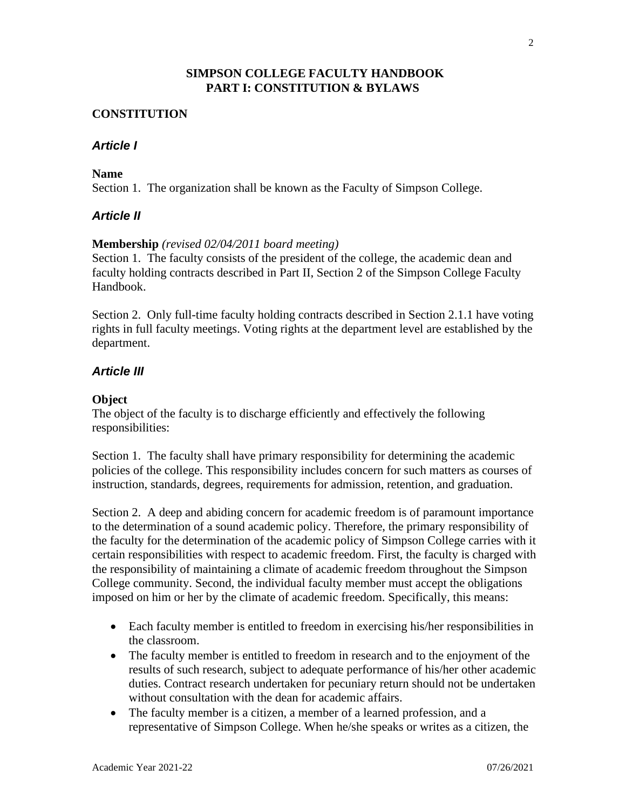## **SIMPSON COLLEGE FACULTY HANDBOOK PART I: CONSTITUTION & BYLAWS**

### **CONSTITUTION**

## *Article I*

### **Name**

Section 1. The organization shall be known as the Faculty of Simpson College.

## *Article II*

### **Membership** *(revised 02/04/2011 board meeting)*

Section 1. The faculty consists of the president of the college, the academic dean and faculty holding contracts described in Part II, Section 2 of the Simpson College Faculty Handbook.

Section 2. Only full-time faculty holding contracts described in Section 2.1.1 have voting rights in full faculty meetings. Voting rights at the department level are established by the department.

## *Article III*

## **Object**

The object of the faculty is to discharge efficiently and effectively the following responsibilities:

Section 1. The faculty shall have primary responsibility for determining the academic policies of the college. This responsibility includes concern for such matters as courses of instruction, standards, degrees, requirements for admission, retention, and graduation.

Section 2. A deep and abiding concern for academic freedom is of paramount importance to the determination of a sound academic policy. Therefore, the primary responsibility of the faculty for the determination of the academic policy of Simpson College carries with it certain responsibilities with respect to academic freedom. First, the faculty is charged with the responsibility of maintaining a climate of academic freedom throughout the Simpson College community. Second, the individual faculty member must accept the obligations imposed on him or her by the climate of academic freedom. Specifically, this means:

- Each faculty member is entitled to freedom in exercising his/her responsibilities in the classroom.
- The faculty member is entitled to freedom in research and to the enjoyment of the results of such research, subject to adequate performance of his/her other academic duties. Contract research undertaken for pecuniary return should not be undertaken without consultation with the dean for academic affairs.
- The faculty member is a citizen, a member of a learned profession, and a representative of Simpson College. When he/she speaks or writes as a citizen, the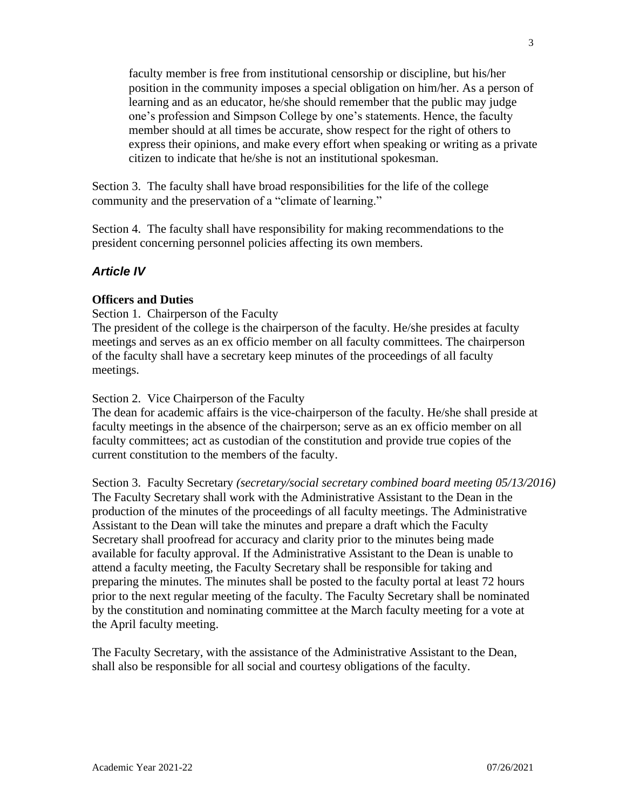faculty member is free from institutional censorship or discipline, but his/her position in the community imposes a special obligation on him/her. As a person of learning and as an educator, he/she should remember that the public may judge one's profession and Simpson College by one's statements. Hence, the faculty member should at all times be accurate, show respect for the right of others to express their opinions, and make every effort when speaking or writing as a private citizen to indicate that he/she is not an institutional spokesman.

Section 3. The faculty shall have broad responsibilities for the life of the college community and the preservation of a "climate of learning."

Section 4. The faculty shall have responsibility for making recommendations to the president concerning personnel policies affecting its own members.

## *Article IV*

### **Officers and Duties**

Section 1. Chairperson of the Faculty

The president of the college is the chairperson of the faculty. He/she presides at faculty meetings and serves as an ex officio member on all faculty committees. The chairperson of the faculty shall have a secretary keep minutes of the proceedings of all faculty meetings.

#### Section 2. Vice Chairperson of the Faculty

The dean for academic affairs is the vice-chairperson of the faculty. He/she shall preside at faculty meetings in the absence of the chairperson; serve as an ex officio member on all faculty committees; act as custodian of the constitution and provide true copies of the current constitution to the members of the faculty.

Section 3. Faculty Secretary *(secretary/social secretary combined board meeting 05/13/2016)* The Faculty Secretary shall work with the Administrative Assistant to the Dean in the production of the minutes of the proceedings of all faculty meetings. The Administrative Assistant to the Dean will take the minutes and prepare a draft which the Faculty Secretary shall proofread for accuracy and clarity prior to the minutes being made available for faculty approval. If the Administrative Assistant to the Dean is unable to attend a faculty meeting, the Faculty Secretary shall be responsible for taking and preparing the minutes. The minutes shall be posted to the faculty portal at least 72 hours prior to the next regular meeting of the faculty. The Faculty Secretary shall be nominated by the constitution and nominating committee at the March faculty meeting for a vote at the April faculty meeting.

The Faculty Secretary, with the assistance of the Administrative Assistant to the Dean, shall also be responsible for all social and courtesy obligations of the faculty.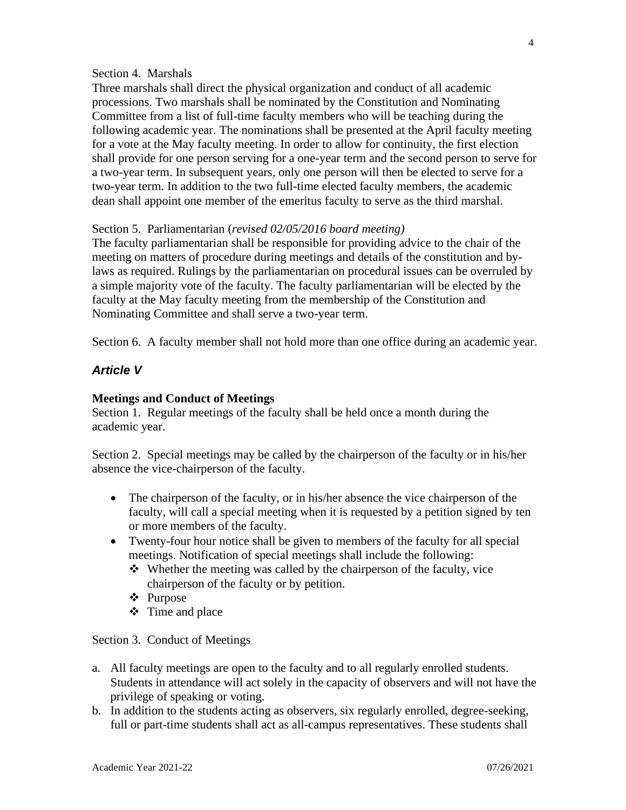#### Section 4. Marshals

Three marshals shall direct the physical organization and conduct of all academic processions. Two marshals shall be nominated by the Constitution and Nominating Committee from a list of full-time faculty members who will be teaching during the following academic year. The nominations shall be presented at the April faculty meeting for a vote at the May faculty meeting. In order to allow for continuity, the first election shall provide for one person serving for a one-year term and the second person to serve for a two-year term. In subsequent years, only one person will then be elected to serve for a two-year term. In addition to the two full-time elected faculty members, the academic dean shall appoint one member of the emeritus faculty to serve as the third marshal.

#### Section 5. Parliamentarian (*revised 02/05/2016 board meeting)*

The faculty parliamentarian shall be responsible for providing advice to the chair of the meeting on matters of procedure during meetings and details of the constitution and bylaws as required. Rulings by the parliamentarian on procedural issues can be overruled by a simple majority vote of the faculty. The faculty parliamentarian will be elected by the faculty at the May faculty meeting from the membership of the Constitution and Nominating Committee and shall serve a two-year term.

Section 6. A faculty member shall not hold more than one office during an academic year.

### *Article V*

#### **Meetings and Conduct of Meetings**

Section 1. Regular meetings of the faculty shall be held once a month during the academic year.

Section 2. Special meetings may be called by the chairperson of the faculty or in his/her absence the vice-chairperson of the faculty.

- The chairperson of the faculty, or in his/her absence the vice chairperson of the faculty, will call a special meeting when it is requested by a petition signed by ten or more members of the faculty.
- Twenty-four hour notice shall be given to members of the faculty for all special meetings. Notification of special meetings shall include the following:
	- ❖ Whether the meeting was called by the chairperson of the faculty, vice chairperson of the faculty or by petition.
	- ❖ Purpose
	- ❖ Time and place

Section 3. Conduct of Meetings

- a. All faculty meetings are open to the faculty and to all regularly enrolled students. Students in attendance will act solely in the capacity of observers and will not have the privilege of speaking or voting.
- b. In addition to the students acting as observers, six regularly enrolled, degree-seeking, full or part-time students shall act as all-campus representatives. These students shall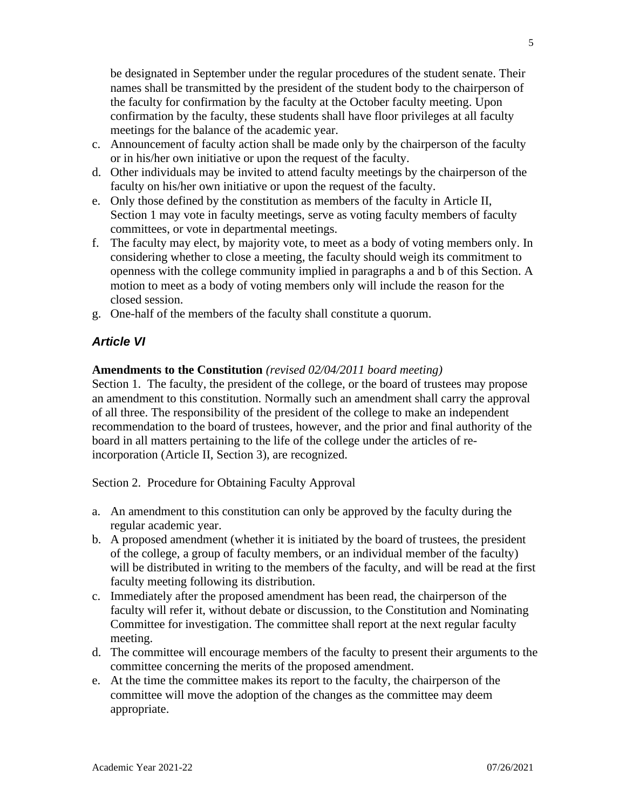be designated in September under the regular procedures of the student senate. Their names shall be transmitted by the president of the student body to the chairperson of the faculty for confirmation by the faculty at the October faculty meeting. Upon confirmation by the faculty, these students shall have floor privileges at all faculty meetings for the balance of the academic year.

- c. Announcement of faculty action shall be made only by the chairperson of the faculty or in his/her own initiative or upon the request of the faculty.
- d. Other individuals may be invited to attend faculty meetings by the chairperson of the faculty on his/her own initiative or upon the request of the faculty.
- e. Only those defined by the constitution as members of the faculty in Article II, Section 1 may vote in faculty meetings, serve as voting faculty members of faculty committees, or vote in departmental meetings.
- f. The faculty may elect, by majority vote, to meet as a body of voting members only. In considering whether to close a meeting, the faculty should weigh its commitment to openness with the college community implied in paragraphs a and b of this Section. A motion to meet as a body of voting members only will include the reason for the closed session.
- g. One-half of the members of the faculty shall constitute a quorum.

## *Article VI*

### **Amendments to the Constitution** *(revised 02/04/2011 board meeting)*

Section 1. The faculty, the president of the college, or the board of trustees may propose an amendment to this constitution. Normally such an amendment shall carry the approval of all three. The responsibility of the president of the college to make an independent recommendation to the board of trustees, however, and the prior and final authority of the board in all matters pertaining to the life of the college under the articles of reincorporation (Article II, Section 3), are recognized.

Section 2. Procedure for Obtaining Faculty Approval

- a. An amendment to this constitution can only be approved by the faculty during the regular academic year.
- b. A proposed amendment (whether it is initiated by the board of trustees, the president of the college, a group of faculty members, or an individual member of the faculty) will be distributed in writing to the members of the faculty, and will be read at the first faculty meeting following its distribution.
- c. Immediately after the proposed amendment has been read, the chairperson of the faculty will refer it, without debate or discussion, to the Constitution and Nominating Committee for investigation. The committee shall report at the next regular faculty meeting.
- d. The committee will encourage members of the faculty to present their arguments to the committee concerning the merits of the proposed amendment.
- e. At the time the committee makes its report to the faculty, the chairperson of the committee will move the adoption of the changes as the committee may deem appropriate.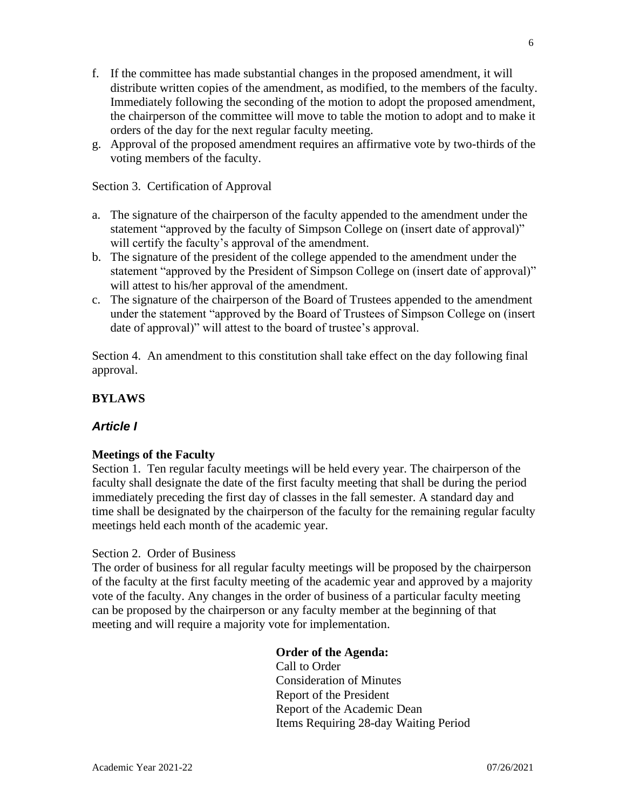- f. If the committee has made substantial changes in the proposed amendment, it will distribute written copies of the amendment, as modified, to the members of the faculty. Immediately following the seconding of the motion to adopt the proposed amendment, the chairperson of the committee will move to table the motion to adopt and to make it orders of the day for the next regular faculty meeting.
- g. Approval of the proposed amendment requires an affirmative vote by two-thirds of the voting members of the faculty.

Section 3. Certification of Approval

- a. The signature of the chairperson of the faculty appended to the amendment under the statement "approved by the faculty of Simpson College on (insert date of approval)" will certify the faculty's approval of the amendment.
- b. The signature of the president of the college appended to the amendment under the statement "approved by the President of Simpson College on (insert date of approval)" will attest to his/her approval of the amendment.
- c. The signature of the chairperson of the Board of Trustees appended to the amendment under the statement "approved by the Board of Trustees of Simpson College on (insert date of approval)" will attest to the board of trustee's approval.

Section 4. An amendment to this constitution shall take effect on the day following final approval.

## **BYLAWS**

### *Article I*

### **Meetings of the Faculty**

Section 1. Ten regular faculty meetings will be held every year. The chairperson of the faculty shall designate the date of the first faculty meeting that shall be during the period immediately preceding the first day of classes in the fall semester. A standard day and time shall be designated by the chairperson of the faculty for the remaining regular faculty meetings held each month of the academic year.

#### Section 2. Order of Business

The order of business for all regular faculty meetings will be proposed by the chairperson of the faculty at the first faculty meeting of the academic year and approved by a majority vote of the faculty. Any changes in the order of business of a particular faculty meeting can be proposed by the chairperson or any faculty member at the beginning of that meeting and will require a majority vote for implementation.

#### **Order of the Agenda:**

Call to Order Consideration of Minutes Report of the President Report of the Academic Dean Items Requiring 28-day Waiting Period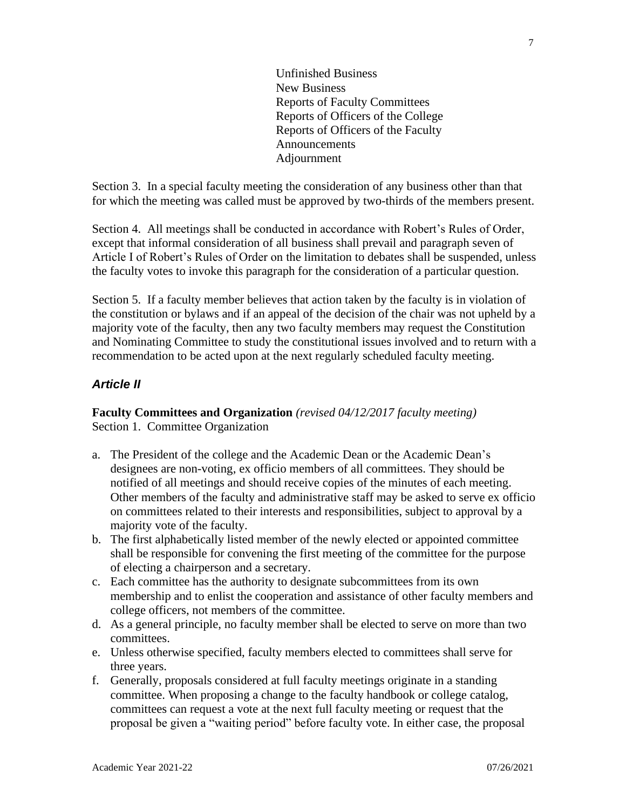Unfinished Business New Business Reports of Faculty Committees Reports of Officers of the College Reports of Officers of the Faculty **Announcements** Adjournment

Section 3. In a special faculty meeting the consideration of any business other than that for which the meeting was called must be approved by two-thirds of the members present.

Section 4. All meetings shall be conducted in accordance with Robert's Rules of Order, except that informal consideration of all business shall prevail and paragraph seven of Article I of Robert's Rules of Order on the limitation to debates shall be suspended, unless the faculty votes to invoke this paragraph for the consideration of a particular question.

Section 5. If a faculty member believes that action taken by the faculty is in violation of the constitution or bylaws and if an appeal of the decision of the chair was not upheld by a majority vote of the faculty, then any two faculty members may request the Constitution and Nominating Committee to study the constitutional issues involved and to return with a recommendation to be acted upon at the next regularly scheduled faculty meeting.

## *Article II*

**Faculty Committees and Organization** *(revised 04/12/2017 faculty meeting)* Section 1. Committee Organization

- a. The President of the college and the Academic Dean or the Academic Dean's designees are non-voting, ex officio members of all committees. They should be notified of all meetings and should receive copies of the minutes of each meeting. Other members of the faculty and administrative staff may be asked to serve ex officio on committees related to their interests and responsibilities, subject to approval by a majority vote of the faculty.
- b. The first alphabetically listed member of the newly elected or appointed committee shall be responsible for convening the first meeting of the committee for the purpose of electing a chairperson and a secretary.
- c. Each committee has the authority to designate subcommittees from its own membership and to enlist the cooperation and assistance of other faculty members and college officers, not members of the committee.
- d. As a general principle, no faculty member shall be elected to serve on more than two committees.
- e. Unless otherwise specified, faculty members elected to committees shall serve for three years.
- f. Generally, proposals considered at full faculty meetings originate in a standing committee. When proposing a change to the faculty handbook or college catalog, committees can request a vote at the next full faculty meeting or request that the proposal be given a "waiting period" before faculty vote. In either case, the proposal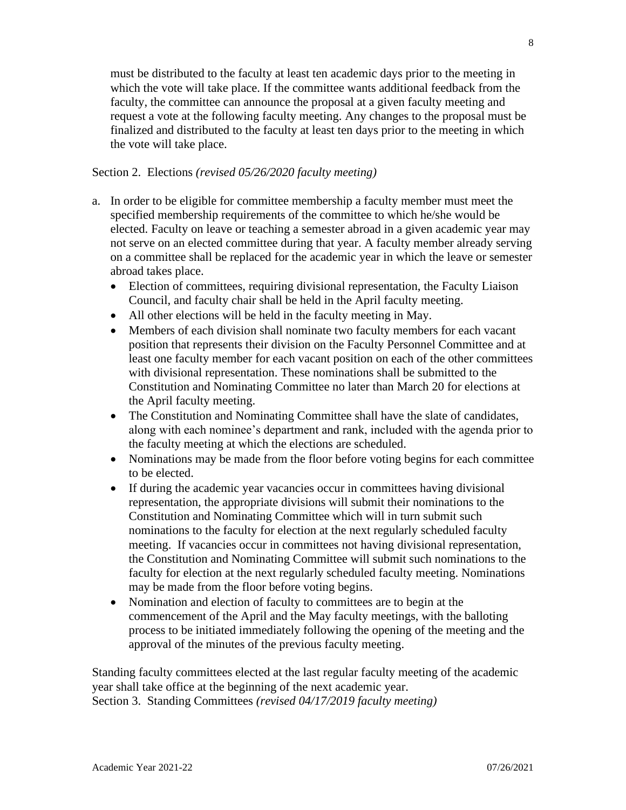must be distributed to the faculty at least ten academic days prior to the meeting in which the vote will take place. If the committee wants additional feedback from the faculty, the committee can announce the proposal at a given faculty meeting and request a vote at the following faculty meeting. Any changes to the proposal must be finalized and distributed to the faculty at least ten days prior to the meeting in which the vote will take place.

Section 2. Elections *(revised 05/26/2020 faculty meeting)*

- a. In order to be eligible for committee membership a faculty member must meet the specified membership requirements of the committee to which he/she would be elected. Faculty on leave or teaching a semester abroad in a given academic year may not serve on an elected committee during that year. A faculty member already serving on a committee shall be replaced for the academic year in which the leave or semester abroad takes place.
	- Election of committees, requiring divisional representation, the Faculty Liaison Council, and faculty chair shall be held in the April faculty meeting.
	- All other elections will be held in the faculty meeting in May.
	- Members of each division shall nominate two faculty members for each vacant position that represents their division on the Faculty Personnel Committee and at least one faculty member for each vacant position on each of the other committees with divisional representation. These nominations shall be submitted to the Constitution and Nominating Committee no later than March 20 for elections at the April faculty meeting.
	- The Constitution and Nominating Committee shall have the slate of candidates, along with each nominee's department and rank, included with the agenda prior to the faculty meeting at which the elections are scheduled.
	- Nominations may be made from the floor before voting begins for each committee to be elected.
	- If during the academic year vacancies occur in committees having divisional representation, the appropriate divisions will submit their nominations to the Constitution and Nominating Committee which will in turn submit such nominations to the faculty for election at the next regularly scheduled faculty meeting. If vacancies occur in committees not having divisional representation, the Constitution and Nominating Committee will submit such nominations to the faculty for election at the next regularly scheduled faculty meeting. Nominations may be made from the floor before voting begins.
	- Nomination and election of faculty to committees are to begin at the commencement of the April and the May faculty meetings, with the balloting process to be initiated immediately following the opening of the meeting and the approval of the minutes of the previous faculty meeting.

Standing faculty committees elected at the last regular faculty meeting of the academic year shall take office at the beginning of the next academic year. Section 3. Standing Committees *(revised 04/17/2019 faculty meeting)*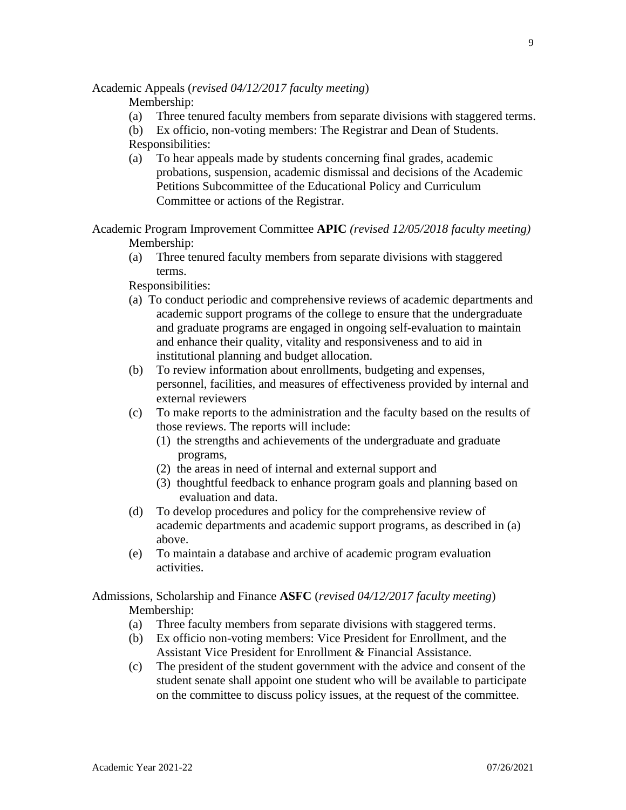Academic Appeals (*revised 04/12/2017 faculty meeting*)

Membership:

(a) Three tenured faculty members from separate divisions with staggered terms.

(b) Ex officio, non-voting members: The Registrar and Dean of Students. Responsibilities:

(a) To hear appeals made by students concerning final grades, academic probations, suspension, academic dismissal and decisions of the Academic Petitions Subcommittee of the Educational Policy and Curriculum Committee or actions of the Registrar.

Academic Program Improvement Committee **APIC** *(revised 12/05/2018 faculty meeting)* Membership:

(a) Three tenured faculty members from separate divisions with staggered terms.

Responsibilities:

- (a) To conduct periodic and comprehensive reviews of academic departments and academic support programs of the college to ensure that the undergraduate and graduate programs are engaged in ongoing self-evaluation to maintain and enhance their quality, vitality and responsiveness and to aid in institutional planning and budget allocation.
- (b) To review information about enrollments, budgeting and expenses, personnel, facilities, and measures of effectiveness provided by internal and external reviewers
- (c) To make reports to the administration and the faculty based on the results of those reviews. The reports will include:
	- (1) the strengths and achievements of the undergraduate and graduate programs,
	- (2) the areas in need of internal and external support and
	- (3) thoughtful feedback to enhance program goals and planning based on evaluation and data.
- (d) To develop procedures and policy for the comprehensive review of academic departments and academic support programs, as described in (a) above.
- (e) To maintain a database and archive of academic program evaluation activities.

### Admissions, Scholarship and Finance **ASFC** (*revised 04/12/2017 faculty meeting*) Membership:

- (a) Three faculty members from separate divisions with staggered terms.
- (b) Ex officio non-voting members: Vice President for Enrollment, and the Assistant Vice President for Enrollment & Financial Assistance.
- (c) The president of the student government with the advice and consent of the student senate shall appoint one student who will be available to participate on the committee to discuss policy issues, at the request of the committee.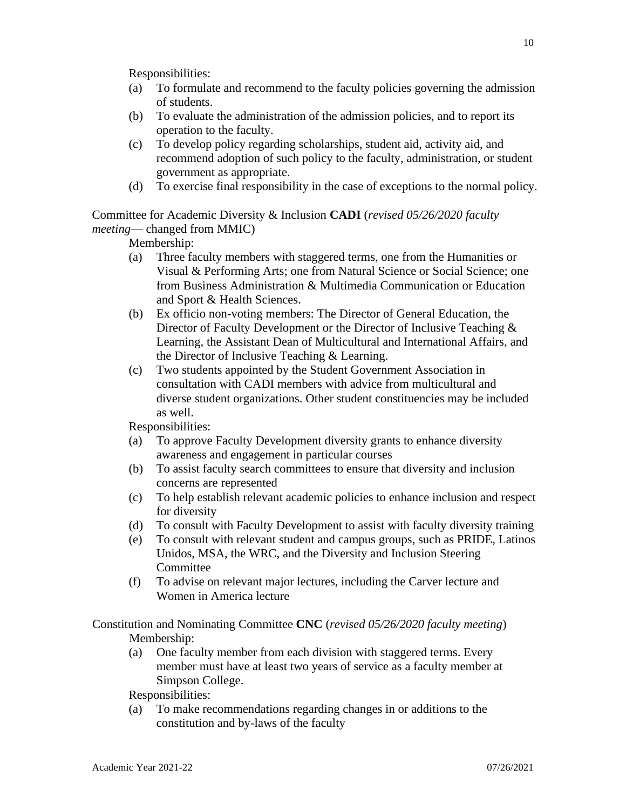- (a) To formulate and recommend to the faculty policies governing the admission of students.
- (b) To evaluate the administration of the admission policies, and to report its operation to the faculty.
- (c) To develop policy regarding scholarships, student aid, activity aid, and recommend adoption of such policy to the faculty, administration, or student government as appropriate.
- (d) To exercise final responsibility in the case of exceptions to the normal policy.

Committee for Academic Diversity & Inclusion **CADI** (*revised 05/26/2020 faculty meeting*— changed from MMIC)

Membership:

- (a) Three faculty members with staggered terms, one from the Humanities or Visual & Performing Arts; one from Natural Science or Social Science; one from Business Administration & Multimedia Communication or Education and Sport & Health Sciences.
- (b) Ex officio non-voting members: The Director of General Education, the Director of Faculty Development or the Director of Inclusive Teaching & Learning, the Assistant Dean of Multicultural and International Affairs, and the Director of Inclusive Teaching & Learning.
- (c) Two students appointed by the Student Government Association in consultation with CADI members with advice from multicultural and diverse student organizations. Other student constituencies may be included as well.

Responsibilities:

- (a) To approve Faculty Development diversity grants to enhance diversity awareness and engagement in particular courses
- (b) To assist faculty search committees to ensure that diversity and inclusion concerns are represented
- (c) To help establish relevant academic policies to enhance inclusion and respect for diversity
- (d) To consult with Faculty Development to assist with faculty diversity training
- (e) To consult with relevant student and campus groups, such as PRIDE, Latinos Unidos, MSA, the WRC, and the Diversity and Inclusion Steering **Committee**
- (f) To advise on relevant major lectures, including the Carver lecture and Women in America lecture

Constitution and Nominating Committee **CNC** (*revised 05/26/2020 faculty meeting*) Membership:

(a) One faculty member from each division with staggered terms. Every member must have at least two years of service as a faculty member at Simpson College.

Responsibilities:

(a) To make recommendations regarding changes in or additions to the constitution and by-laws of the faculty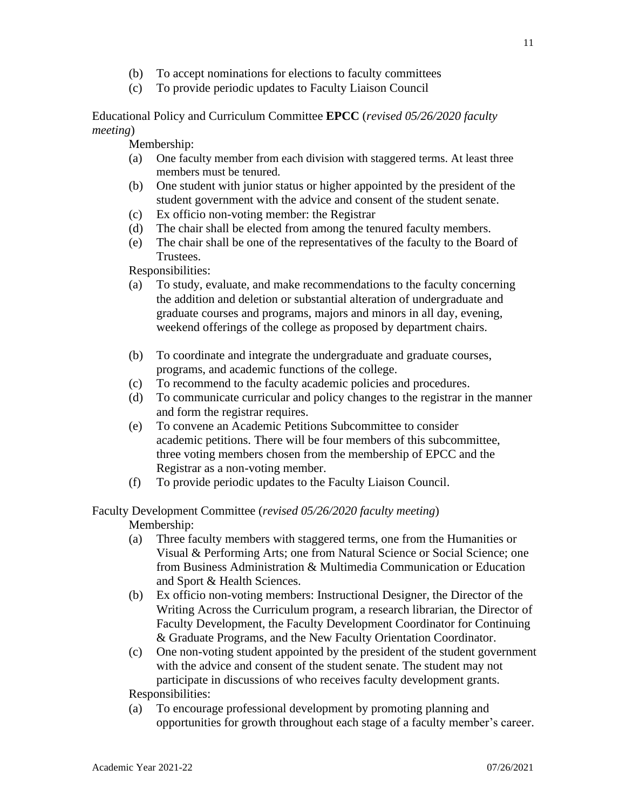- (b) To accept nominations for elections to faculty committees
- (c) To provide periodic updates to Faculty Liaison Council

Educational Policy and Curriculum Committee **EPCC** (*revised 05/26/2020 faculty meeting*)

Membership:

- (a) One faculty member from each division with staggered terms. At least three members must be tenured.
- (b) One student with junior status or higher appointed by the president of the student government with the advice and consent of the student senate.
- (c) Ex officio non-voting member: the Registrar
- (d) The chair shall be elected from among the tenured faculty members.
- (e) The chair shall be one of the representatives of the faculty to the Board of Trustees.

Responsibilities:

- (a) To study, evaluate, and make recommendations to the faculty concerning the addition and deletion or substantial alteration of undergraduate and graduate courses and programs, majors and minors in all day, evening, weekend offerings of the college as proposed by department chairs.
- (b) To coordinate and integrate the undergraduate and graduate courses, programs, and academic functions of the college.
- (c) To recommend to the faculty academic policies and procedures.
- (d) To communicate curricular and policy changes to the registrar in the manner and form the registrar requires.
- (e) To convene an Academic Petitions Subcommittee to consider academic petitions. There will be four members of this subcommittee, three voting members chosen from the membership of EPCC and the Registrar as a non-voting member.
- (f) To provide periodic updates to the Faculty Liaison Council.

Faculty Development Committee (*revised 05/26/2020 faculty meeting*) Membership:

- (a) Three faculty members with staggered terms, one from the Humanities or Visual & Performing Arts; one from Natural Science or Social Science; one from Business Administration & Multimedia Communication or Education and Sport & Health Sciences.
- (b) Ex officio non-voting members: Instructional Designer, the Director of the Writing Across the Curriculum program, a research librarian, the Director of Faculty Development, the Faculty Development Coordinator for Continuing & Graduate Programs, and the New Faculty Orientation Coordinator.
- (c) One non-voting student appointed by the president of the student government with the advice and consent of the student senate. The student may not participate in discussions of who receives faculty development grants.

Responsibilities:

(a) To encourage professional development by promoting planning and opportunities for growth throughout each stage of a faculty member's career.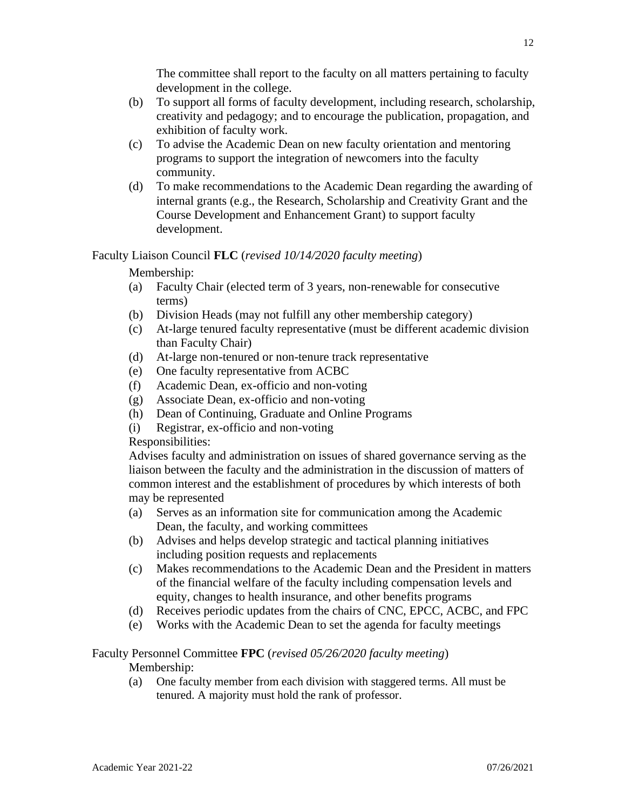The committee shall report to the faculty on all matters pertaining to faculty development in the college.

- (b) To support all forms of faculty development, including research, scholarship, creativity and pedagogy; and to encourage the publication, propagation, and exhibition of faculty work.
- (c) To advise the Academic Dean on new faculty orientation and mentoring programs to support the integration of newcomers into the faculty community.
- (d) To make recommendations to the Academic Dean regarding the awarding of internal grants (e.g., the Research, Scholarship and Creativity Grant and the Course Development and Enhancement Grant) to support faculty development.

## Faculty Liaison Council **FLC** (*revised 10/14/2020 faculty meeting*)

Membership:

- (a) Faculty Chair (elected term of 3 years, non-renewable for consecutive terms)
- (b) Division Heads (may not fulfill any other membership category)
- (c) At-large tenured faculty representative (must be different academic division than Faculty Chair)
- (d) At-large non-tenured or non-tenure track representative
- (e) One faculty representative from ACBC
- (f) Academic Dean, ex-officio and non-voting
- (g) Associate Dean, ex-officio and non-voting
- (h) Dean of Continuing, Graduate and Online Programs
- (i) Registrar, ex-officio and non-voting

Responsibilities:

Advises faculty and administration on issues of shared governance serving as the liaison between the faculty and the administration in the discussion of matters of common interest and the establishment of procedures by which interests of both may be represented

- (a) Serves as an information site for communication among the Academic Dean, the faculty, and working committees
- (b) Advises and helps develop strategic and tactical planning initiatives including position requests and replacements
- (c) Makes recommendations to the Academic Dean and the President in matters of the financial welfare of the faculty including compensation levels and equity, changes to health insurance, and other benefits programs
- (d) Receives periodic updates from the chairs of CNC, EPCC, ACBC, and FPC
- (e) Works with the Academic Dean to set the agenda for faculty meetings

# Faculty Personnel Committee **FPC** (*revised 05/26/2020 faculty meeting*)

Membership:

(a) One faculty member from each division with staggered terms. All must be tenured. A majority must hold the rank of professor.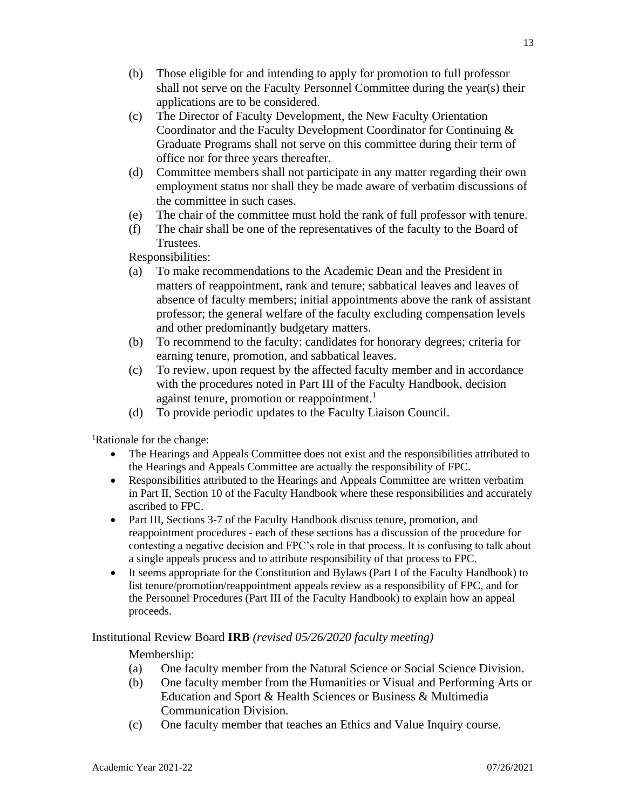- (b) Those eligible for and intending to apply for promotion to full professor shall not serve on the Faculty Personnel Committee during the year(s) their applications are to be considered.
- (c) The Director of Faculty Development, the New Faculty Orientation Coordinator and the Faculty Development Coordinator for Continuing & Graduate Programs shall not serve on this committee during their term of office nor for three years thereafter.
- (d) Committee members shall not participate in any matter regarding their own employment status nor shall they be made aware of verbatim discussions of the committee in such cases.
- (e) The chair of the committee must hold the rank of full professor with tenure.
- (f) The chair shall be one of the representatives of the faculty to the Board of Trustees.

- (a) To make recommendations to the Academic Dean and the President in matters of reappointment, rank and tenure; sabbatical leaves and leaves of absence of faculty members; initial appointments above the rank of assistant professor; the general welfare of the faculty excluding compensation levels and other predominantly budgetary matters.
- (b) To recommend to the faculty: candidates for honorary degrees; criteria for earning tenure, promotion, and sabbatical leaves.
- (c) To review, upon request by the affected faculty member and in accordance with the procedures noted in Part III of the Faculty Handbook, decision against tenure, promotion or reappointment.<sup>1</sup>
- (d) To provide periodic updates to the Faculty Liaison Council.

<sup>1</sup>Rationale for the change:

- The Hearings and Appeals Committee does not exist and the responsibilities attributed to the Hearings and Appeals Committee are actually the responsibility of FPC.
- Responsibilities attributed to the Hearings and Appeals Committee are written verbatim in Part II, Section 10 of the Faculty Handbook where these responsibilities and accurately ascribed to FPC.
- Part III, Sections 3-7 of the Faculty Handbook discuss tenure, promotion, and reappointment procedures - each of these sections has a discussion of the procedure for contesting a negative decision and FPC's role in that process. It is confusing to talk about a single appeals process and to attribute responsibility of that process to FPC.
- It seems appropriate for the Constitution and Bylaws (Part I of the Faculty Handbook) to list tenure/promotion/reappointment appeals review as a responsibility of FPC, and for the Personnel Procedures (Part III of the Faculty Handbook) to explain how an appeal proceeds.

### Institutional Review Board **IRB** *(revised 05/26/2020 faculty meeting)*

Membership:

- (a) One faculty member from the Natural Science or Social Science Division.
- (b) One faculty member from the Humanities or Visual and Performing Arts or Education and Sport & Health Sciences or Business & Multimedia Communication Division.
- (c) One faculty member that teaches an Ethics and Value Inquiry course.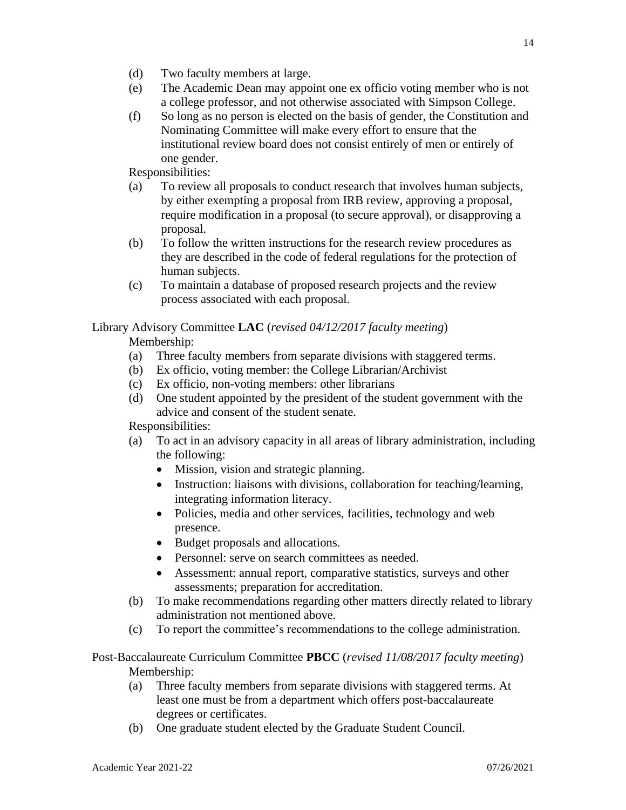- (d) Two faculty members at large.
- (e) The Academic Dean may appoint one ex officio voting member who is not a college professor, and not otherwise associated with Simpson College.
- (f) So long as no person is elected on the basis of gender, the Constitution and Nominating Committee will make every effort to ensure that the institutional review board does not consist entirely of men or entirely of one gender.

- (a) To review all proposals to conduct research that involves human subjects, by either exempting a proposal from IRB review, approving a proposal, require modification in a proposal (to secure approval), or disapproving a proposal.
- (b) To follow the written instructions for the research review procedures as they are described in the code of federal regulations for the protection of human subjects.
- (c) To maintain a database of proposed research projects and the review process associated with each proposal.

## Library Advisory Committee **LAC** (*revised 04/12/2017 faculty meeting*)

Membership:

- (a) Three faculty members from separate divisions with staggered terms.
- (b) Ex officio, voting member: the College Librarian/Archivist
- (c) Ex officio, non-voting members: other librarians
- (d) One student appointed by the president of the student government with the advice and consent of the student senate.

Responsibilities:

- (a) To act in an advisory capacity in all areas of library administration, including the following:
	- Mission, vision and strategic planning.
	- Instruction: liaisons with divisions, collaboration for teaching/learning, integrating information literacy.
	- Policies, media and other services, facilities, technology and web presence.
	- Budget proposals and allocations.
	- Personnel: serve on search committees as needed.
	- Assessment: annual report, comparative statistics, surveys and other assessments; preparation for accreditation.
- (b) To make recommendations regarding other matters directly related to library administration not mentioned above.
- (c) To report the committee's recommendations to the college administration.

## Post-Baccalaureate Curriculum Committee **PBCC** (*revised 11/08/2017 faculty meeting*) Membership:

- (a) Three faculty members from separate divisions with staggered terms. At least one must be from a department which offers post-baccalaureate degrees or certificates.
- (b) One graduate student elected by the Graduate Student Council.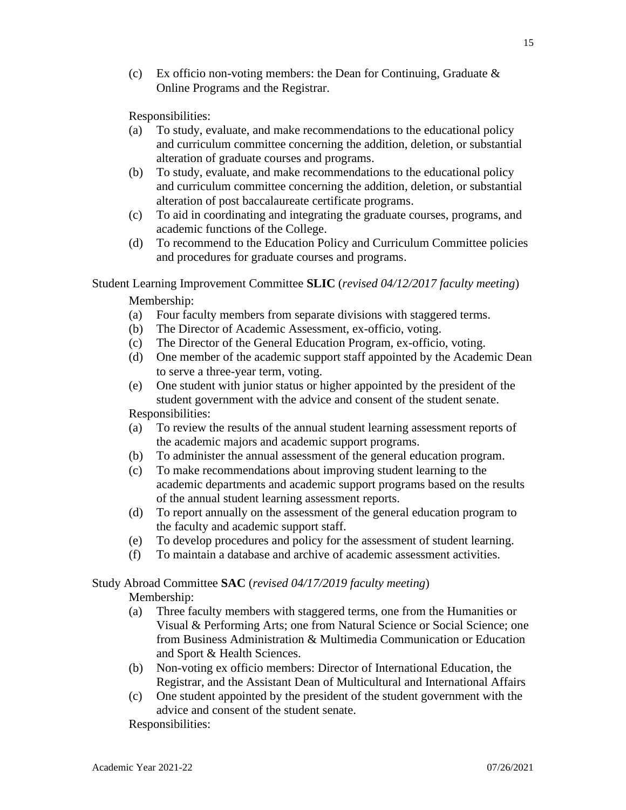(c) Ex officio non-voting members: the Dean for Continuing, Graduate  $\&$ Online Programs and the Registrar.

Responsibilities:

- (a) To study, evaluate, and make recommendations to the educational policy and curriculum committee concerning the addition, deletion, or substantial alteration of graduate courses and programs.
- (b) To study, evaluate, and make recommendations to the educational policy and curriculum committee concerning the addition, deletion, or substantial alteration of post baccalaureate certificate programs.
- (c) To aid in coordinating and integrating the graduate courses, programs, and academic functions of the College.
- (d) To recommend to the Education Policy and Curriculum Committee policies and procedures for graduate courses and programs.

Student Learning Improvement Committee **SLIC** (*revised 04/12/2017 faculty meeting*) Membership:

- (a) Four faculty members from separate divisions with staggered terms.
- (b) The Director of Academic Assessment, ex-officio, voting.
- (c) The Director of the General Education Program, ex-officio, voting.
- (d) One member of the academic support staff appointed by the Academic Dean to serve a three-year term, voting.
- (e) One student with junior status or higher appointed by the president of the student government with the advice and consent of the student senate. Responsibilities:
- (a) To review the results of the annual student learning assessment reports of the academic majors and academic support programs.
- (b) To administer the annual assessment of the general education program.
- (c) To make recommendations about improving student learning to the academic departments and academic support programs based on the results of the annual student learning assessment reports.
- (d) To report annually on the assessment of the general education program to the faculty and academic support staff.
- (e) To develop procedures and policy for the assessment of student learning.
- (f) To maintain a database and archive of academic assessment activities.

Study Abroad Committee **SAC** (*revised 04/17/2019 faculty meeting*)

Membership:

- (a) Three faculty members with staggered terms, one from the Humanities or Visual & Performing Arts; one from Natural Science or Social Science; one from Business Administration & Multimedia Communication or Education and Sport & Health Sciences.
- (b) Non-voting ex officio members: Director of International Education, the Registrar, and the Assistant Dean of Multicultural and International Affairs
- (c) One student appointed by the president of the student government with the advice and consent of the student senate.

Responsibilities: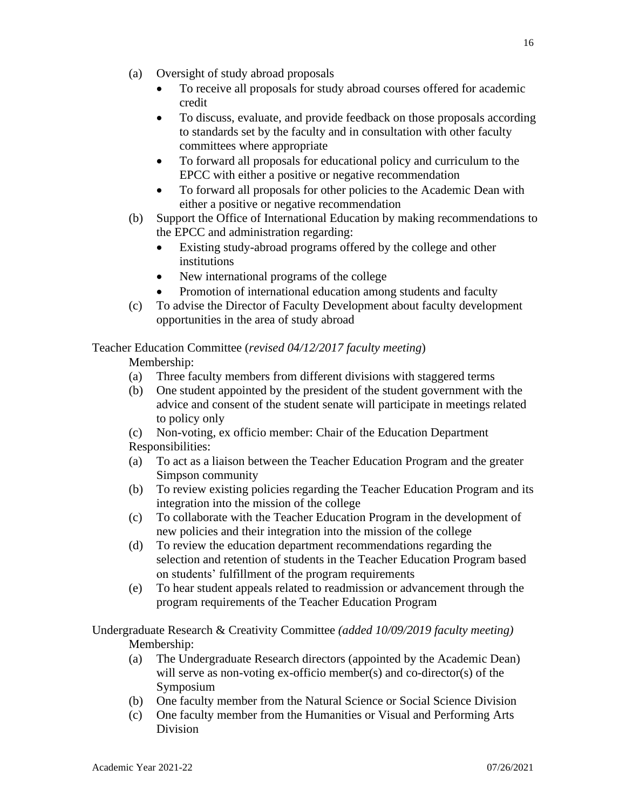- (a) Oversight of study abroad proposals
	- To receive all proposals for study abroad courses offered for academic credit
	- To discuss, evaluate, and provide feedback on those proposals according to standards set by the faculty and in consultation with other faculty committees where appropriate
	- To forward all proposals for educational policy and curriculum to the EPCC with either a positive or negative recommendation
	- To forward all proposals for other policies to the Academic Dean with either a positive or negative recommendation
- (b) Support the Office of International Education by making recommendations to the EPCC and administration regarding:
	- Existing study-abroad programs offered by the college and other institutions
	- New international programs of the college
	- Promotion of international education among students and faculty
- (c) To advise the Director of Faculty Development about faculty development opportunities in the area of study abroad

## Teacher Education Committee (*revised 04/12/2017 faculty meeting*)

Membership:

- (a) Three faculty members from different divisions with staggered terms
- (b) One student appointed by the president of the student government with the advice and consent of the student senate will participate in meetings related to policy only
- (c) Non-voting, ex officio member: Chair of the Education Department Responsibilities:
- (a) To act as a liaison between the Teacher Education Program and the greater Simpson community
- (b) To review existing policies regarding the Teacher Education Program and its integration into the mission of the college
- (c) To collaborate with the Teacher Education Program in the development of new policies and their integration into the mission of the college
- (d) To review the education department recommendations regarding the selection and retention of students in the Teacher Education Program based on students' fulfillment of the program requirements
- (e) To hear student appeals related to readmission or advancement through the program requirements of the Teacher Education Program

Undergraduate Research & Creativity Committee *(added 10/09/2019 faculty meeting)* Membership:

- (a) The Undergraduate Research directors (appointed by the Academic Dean) will serve as non-voting ex-officio member(s) and co-director(s) of the Symposium
- (b) One faculty member from the Natural Science or Social Science Division
- (c) One faculty member from the Humanities or Visual and Performing Arts Division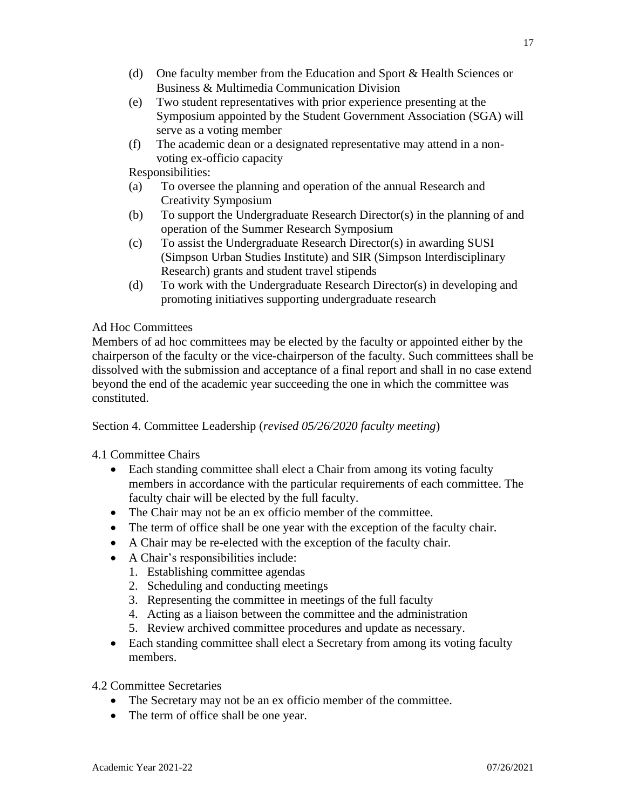- (d) One faculty member from the Education and Sport & Health Sciences or Business & Multimedia Communication Division
- (e) Two student representatives with prior experience presenting at the Symposium appointed by the Student Government Association (SGA) will serve as a voting member
- (f) The academic dean or a designated representative may attend in a nonvoting ex-officio capacity

- (a) To oversee the planning and operation of the annual Research and Creativity Symposium
- (b) To support the Undergraduate Research Director(s) in the planning of and operation of the Summer Research Symposium
- (c) To assist the Undergraduate Research Director(s) in awarding SUSI (Simpson Urban Studies Institute) and SIR (Simpson Interdisciplinary Research) grants and student travel stipends
- (d) To work with the Undergraduate Research Director(s) in developing and promoting initiatives supporting undergraduate research

## Ad Hoc Committees

Members of ad hoc committees may be elected by the faculty or appointed either by the chairperson of the faculty or the vice-chairperson of the faculty. Such committees shall be dissolved with the submission and acceptance of a final report and shall in no case extend beyond the end of the academic year succeeding the one in which the committee was constituted.

Section 4. Committee Leadership (*revised 05/26/2020 faculty meeting*)

## 4.1 Committee Chairs

- Each standing committee shall elect a Chair from among its voting faculty members in accordance with the particular requirements of each committee. The faculty chair will be elected by the full faculty.
- The Chair may not be an ex officio member of the committee.
- The term of office shall be one year with the exception of the faculty chair.
- A Chair may be re-elected with the exception of the faculty chair.
- A Chair's responsibilities include:
	- 1. Establishing committee agendas
	- 2. Scheduling and conducting meetings
	- 3. Representing the committee in meetings of the full faculty
	- 4. Acting as a liaison between the committee and the administration
	- 5. Review archived committee procedures and update as necessary.
- Each standing committee shall elect a Secretary from among its voting faculty members.
- 4.2 Committee Secretaries
	- The Secretary may not be an ex officio member of the committee.
	- The term of office shall be one year.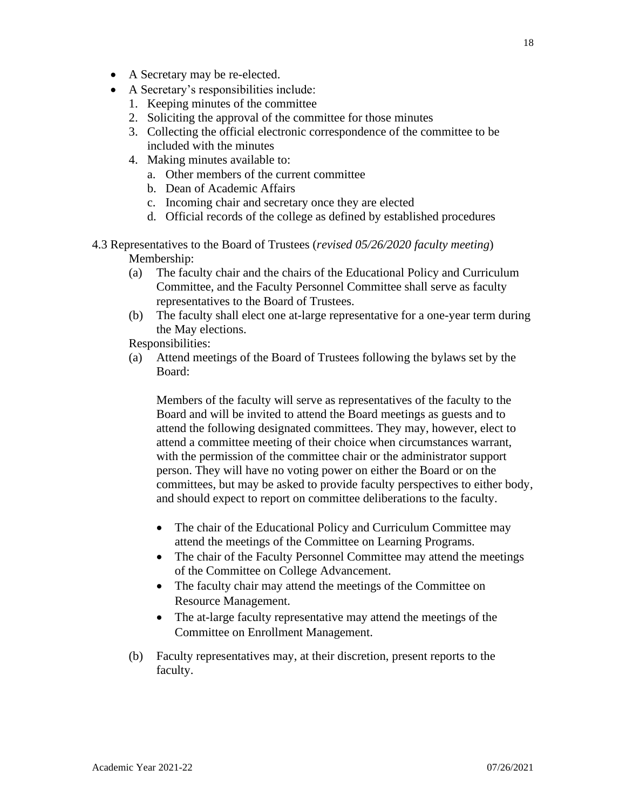- A Secretary may be re-elected.
- A Secretary's responsibilities include:
	- 1. Keeping minutes of the committee
	- 2. Soliciting the approval of the committee for those minutes
	- 3. Collecting the official electronic correspondence of the committee to be included with the minutes
	- 4. Making minutes available to:
		- a. Other members of the current committee
		- b. Dean of Academic Affairs
		- c. Incoming chair and secretary once they are elected
		- d. Official records of the college as defined by established procedures
- 4.3 Representatives to the Board of Trustees (*revised 05/26/2020 faculty meeting*) Membership:
	- (a) The faculty chair and the chairs of the Educational Policy and Curriculum Committee, and the Faculty Personnel Committee shall serve as faculty representatives to the Board of Trustees.
	- (b) The faculty shall elect one at-large representative for a one-year term during the May elections.

(a) Attend meetings of the Board of Trustees following the bylaws set by the Board:

Members of the faculty will serve as representatives of the faculty to the Board and will be invited to attend the Board meetings as guests and to attend the following designated committees. They may, however, elect to attend a committee meeting of their choice when circumstances warrant, with the permission of the committee chair or the administrator support person. They will have no voting power on either the Board or on the committees, but may be asked to provide faculty perspectives to either body, and should expect to report on committee deliberations to the faculty.

- The chair of the Educational Policy and Curriculum Committee may attend the meetings of the Committee on Learning Programs.
- The chair of the Faculty Personnel Committee may attend the meetings of the Committee on College Advancement.
- The faculty chair may attend the meetings of the Committee on Resource Management.
- The at-large faculty representative may attend the meetings of the Committee on Enrollment Management.
- (b) Faculty representatives may, at their discretion, present reports to the faculty.